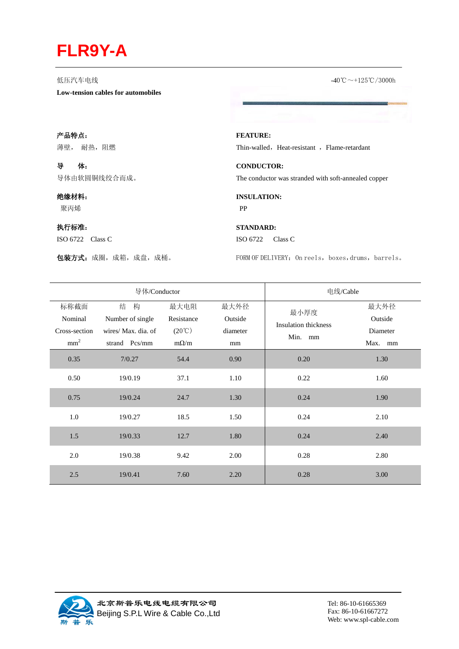## **FLR9Y-A**

**Low-tension cables for automobiles**

低压汽车电线 -40℃~+125℃/3000h

产品特点:

薄壁, 耐热,阻燃

导体: 导体由软圆铜线绞合而成。

## 绝缘材料:

聚丙烯

## 执行标准:

ISO 6722 Class C

**FEATURE:**  Thin-walled, Heat-resistant, Flame-retardant

**CONDUCTOR:** The conductor was stranded with soft-annealed copper

**INSULATION:**  PP

## **STANDARD:**  ISO 6722 Class C

包装方式:成圈,成箱,成盘,成桶。 FORM OF DELIVERY: On reels, boxes,drums, barrels。

|                 | 导体/Conductor        |                        | 电线/Cable |                                                |          |
|-----------------|---------------------|------------------------|----------|------------------------------------------------|----------|
| 标称截面            | 结<br>构              | 最大电阻                   | 最大外径     | 最小厚度<br><b>Insulation thickness</b><br>Min. mm | 最大外径     |
| Nominal         | Number of single    | Resistance             | Outside  |                                                | Outside  |
| Cross-section   | wires/ Max. dia. of | $(20^{\circ}\text{C})$ | diameter |                                                | Diameter |
| mm <sup>2</sup> | strand Pcs/mm       | $m\Omega/m$            | mm       |                                                | Max. mm  |
| 0.35            | 7/0.27              | 54.4                   | 0.90     | 0.20                                           | 1.30     |
| 0.50            | 19/0.19             | 37.1                   | 1.10     | 0.22                                           | 1.60     |
| 0.75            | 19/0.24             | 24.7                   | 1.30     | 0.24                                           | 1.90     |
| 1.0             | 19/0.27             | 18.5                   | 1.50     | 0.24                                           | 2.10     |
| 1.5             | 19/0.33             | 12.7                   | 1.80     | 0.24                                           | 2.40     |
| 2.0             | 19/0.38             | 9.42                   | 2.00     | 0.28                                           | 2.80     |
| 2.5             | 19/0.41             | 7.60                   | 2.20     | 0.28                                           | 3.00     |